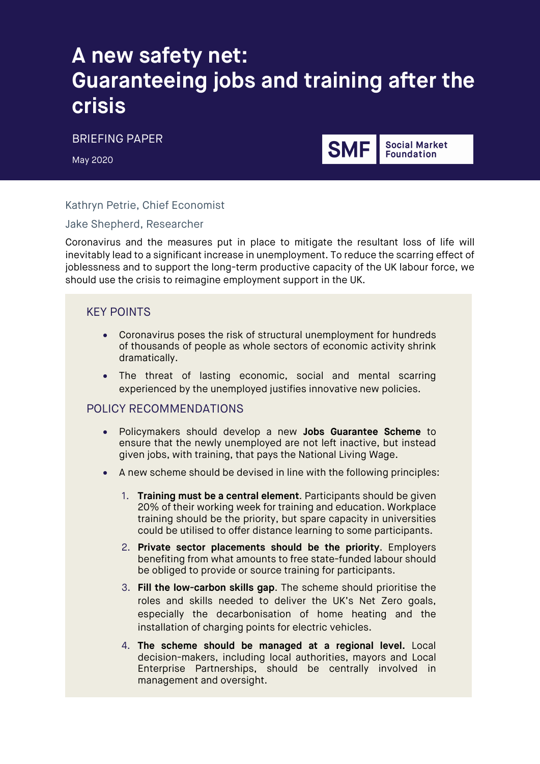# **A new safety net: Guaranteeing jobs and training after the crisis**

BRIEFING PAPER

May 2020



#### Kathryn Petrie, Chief Economist

#### Jake Shepherd, Researcher

Coronavirus and the measures put in place to mitigate the resultant loss of life will inevitably lead to a significant increase in unemployment. To reduce the scarring effect of joblessness and to support the long-term productive capacity of the UK labour force, we should use the crisis to reimagine employment support in the UK.

#### KEY POINTS

- Coronavirus poses the risk of structural unemployment for hundreds of thousands of people as whole sectors of economic activity shrink dramatically.
- The threat of lasting economic, social and mental scarring experienced by the unemployed justifies innovative new policies.

#### POLICY RECOMMENDATIONS

- Policymakers should develop a new **Jobs Guarantee Scheme** to ensure that the newly unemployed are not left inactive, but instead given jobs, with training, that pays the National Living Wage.
- A new scheme should be devised in line with the following principles:
	- 1. **Training must be a central element**. Participants should be given 20% of their working week for training and education. Workplace training should be the priority, but spare capacity in universities could be utilised to offer distance learning to some participants.
	- 2. **Private sector placements should be the priority**. Employers benefiting from what amounts to free state-funded labour should be obliged to provide or source training for participants.
	- 3. **Fill the low-carbon skills gap**. The scheme should prioritise the roles and skills needed to deliver the UK's Net Zero goals, especially the decarbonisation of home heating and the installation of charging points for electric vehicles.
	- 4. **The scheme should be managed at a regional level.** Local decision-makers, including local authorities, mayors and Local Enterprise Partnerships, should be centrally involved in management and oversight.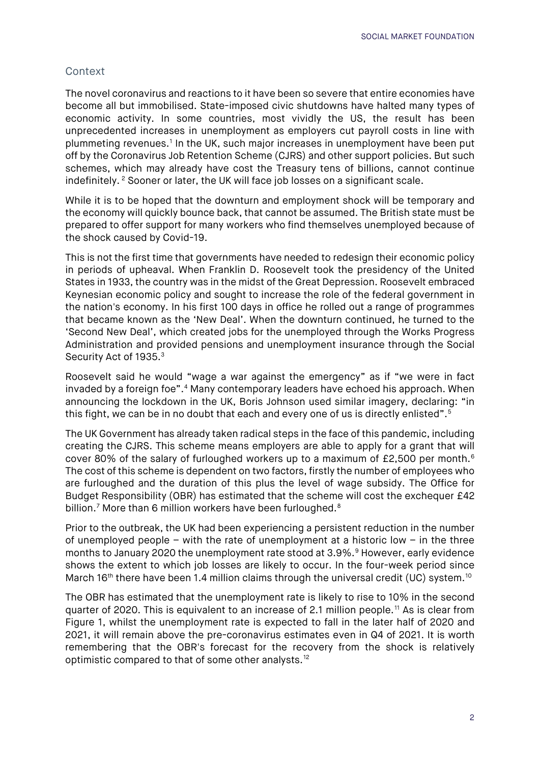### Context

The novel coronavirus and reactions to it have been so severe that entire economies have become all but immobilised. State-imposed civic shutdowns have halted many types of economic activity. In some countries, most vividly the US, the result has been unprecedented increases in unemployment as employers cut payroll costs in line with plummeting revenues.<sup>[1](#page-13-0)</sup> In the UK, such major increases in unemployment have been put off by the Coronavirus Job Retention Scheme (CJRS) and other support policies. But such schemes, which may already have cost the Treasury tens of billions, cannot continue indefinitely. [2](#page-13-1) Sooner or later, the UK will face job losses on a significant scale.

While it is to be hoped that the downturn and employment shock will be temporary and the economy will quickly bounce back, that cannot be assumed. The British state must be prepared to offer support for many workers who find themselves unemployed because of the shock caused by Covid-19.

This is not the first time that governments have needed to redesign their economic policy in periods of upheaval. When Franklin D. Roosevelt took the presidency of the United States in 1933, the country was in the midst of the Great Depression. Roosevelt embraced Keynesian economic policy and sought to increase the role of the federal government in the nation's economy. In his first 100 days in office he rolled out a range of programmes that became known as the 'New Deal'. When the downturn continued, he turned to the 'Second New Deal', which created jobs for the unemployed through the Works Progress Administration and provided pensions and unemployment insurance through the Social Security Act of 19[3](#page-13-2)5.<sup>3</sup>

Roosevelt said he would "wage a war against the emergency" as if "we were in fact invaded by a foreign foe". [4](#page-13-3) Many contemporary leaders have echoed his approach. When announcing the lockdown in the UK, Boris Johnson used similar imagery, declaring: "in this fight, we can be in no doubt that each and every one of us is directly enlisted". [5](#page-13-4)

The UK Government has already taken radical steps in the face of this pandemic, including creating the CJRS. This scheme means employers are able to apply for a grant that will cover 80% of the salary of furloughed workers up to a maximum of £2,500 per month.<sup>[6](#page-13-5)</sup> The cost of this scheme is dependent on two factors, firstly the number of employees who are furloughed and the duration of this plus the level of wage subsidy. The Office for Budget Responsibility (OBR) has estimated that the scheme will cost the exchequer £42 billion.<sup>[7](#page-13-6)</sup> More than 6 million workers have been furloughed.<sup>[8](#page-13-7)</sup>

Prior to the outbreak, the UK had been experiencing a persistent reduction in the number of unemployed people – with the rate of unemployment at a historic low – in the three months to January 2020 the unemployment rate stood at 3.[9](#page-13-8)%.<sup>9</sup> However, early evidence shows the extent to which job losses are likely to occur. In the four-week period since March 16<sup>th</sup> there have been 1.4 million claims through the universal credit (UC) system.<sup>[10](#page-13-9)</sup>

<span id="page-1-0"></span>The OBR has estimated that the unemployment rate is likely to rise to 10% in the second quarter of 2020. This is equivalent to an increase of 2.1 million people.[11](#page-13-10) As is clear from [Figure 1,](#page-1-0) whilst the unemployment rate is expected to fall in the later half of 2020 and 2021, it will remain above the pre-coronavirus estimates even in Q4 of 2021. It is worth remembering that the OBR's forecast for the recovery from the shock is relatively optimistic compared to that of some other analysts.[12](#page-13-11)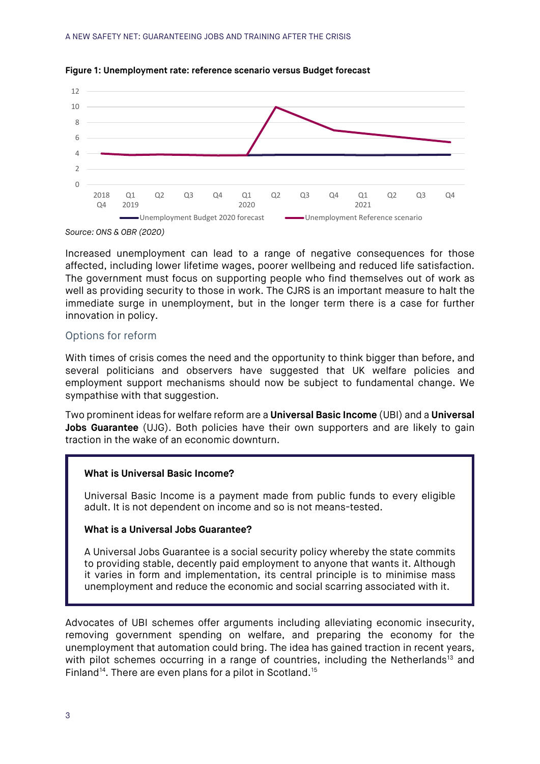

#### **Figure 1: Unemployment rate: reference scenario versus Budget forecast**

*Source: ONS & OBR (2020)*

Increased unemployment can lead to a range of negative consequences for those affected, including lower lifetime wages, poorer wellbeing and reduced life satisfaction. The government must focus on supporting people who find themselves out of work as well as providing security to those in work. The CJRS is an important measure to halt the immediate surge in unemployment, but in the longer term there is a case for further innovation in policy.

#### Options for reform

With times of crisis comes the need and the opportunity to think bigger than before, and several politicians and observers have suggested that UK welfare policies and employment support mechanisms should now be subject to fundamental change. We sympathise with that suggestion.

Two prominent ideas for welfare reform are a **Universal Basic Income** (UBI) and a **Universal Jobs Guarantee** (UJG). Both policies have their own supporters and are likely to gain traction in the wake of an economic downturn.

#### **What is Universal Basic Income?**

Universal Basic Income is a payment made from public funds to every eligible adult. It is not dependent on income and so is not means-tested.

#### **What is a Universal Jobs Guarantee?**

A Universal Jobs Guarantee is a social security policy whereby the state commits to providing stable, decently paid employment to anyone that wants it. Although it varies in form and implementation, its central principle is to minimise mass unemployment and reduce the economic and social scarring associated with it.

Advocates of UBI schemes offer arguments including alleviating economic insecurity, removing government spending on welfare, and preparing the economy for the unemployment that automation could bring. The idea has gained traction in recent years, with pilot schemes occurring in a range of countries, including the Netherlands<sup>[13](#page-13-12)</sup> and Finland<sup>[14](#page-13-13)</sup>. There are even plans for a pilot in Scotland.<sup>[15](#page-13-14)</sup>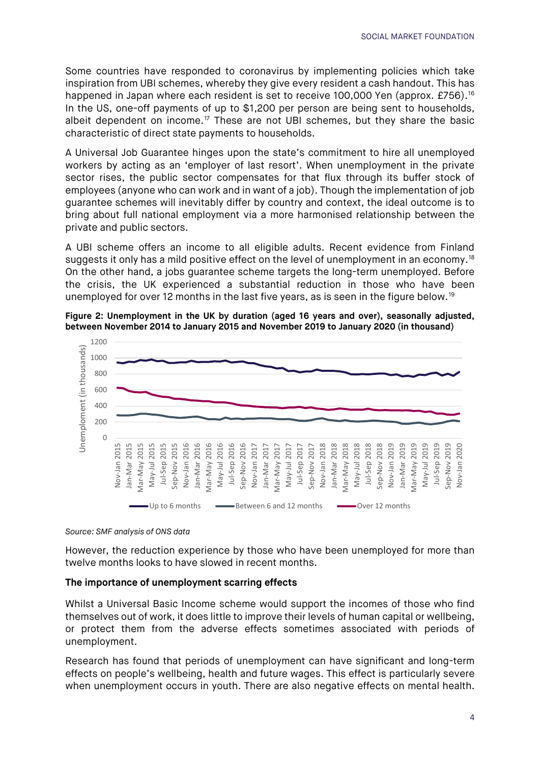Some countries have responded to coronavirus by implementing policies which take inspiration from UBI schemes, whereby they give every resident a cash handout. This has happened in Japan where each resident is set to receive 100,000 Yen (approx. £756).<sup>[16](#page-13-15)</sup> In the US, one-off payments of up to \$1,200 per person are being sent to households, albeit dependent on income.<sup>[17](#page-13-16)</sup> These are not UBI schemes, but they share the basic characteristic of direct state payments to households.

A Universal Job Guarantee hinges upon the state's commitment to hire all unemployed workers by acting as an 'employer of last resort'. When unemployment in the private sector rises, the public sector compensates for that flux through its buffer stock of employees (anyone who can work and in want of a job). Though the implementation of job guarantee schemes will inevitably differ by country and context, the ideal outcome is to bring about full national employment via a more harmonised relationship between the private and public sectors.

A UBI scheme offers an income to all eligible adults. Recent evidence from Finland suggests it only has a mild positive effect on the level of unemployment in an economy. [18](#page-13-17) On the other hand, a jobs guarantee scheme targets the long-term unemployed. Before the crisis, the UK experienced a substantial reduction in those who have been unemployed for over 12 months in the last five years, as is seen in the figure below.[19](#page-13-18)



**Figure 2: Unemployment in the UK by duration (aged 16 years and over), seasonally adjusted, between November 2014 to January 2015 and November 2019 to January 2020 (in thousand)**

#### *Source: SMF analysis of ONS data*

However, the reduction experience by those who have been unemployed for more than twelve months looks to have slowed in recent months.

#### **The importance of unemployment scarring effects**

Whilst a Universal Basic Income scheme would support the incomes of those who find themselves out of work, it does little to improve their levels of human capital or wellbeing, or protect them from the adverse effects sometimes associated with periods of unemployment.

Research has found that periods of unemployment can have significant and long-term effects on people's wellbeing, health and future wages. This effect is particularly severe when unemployment occurs in youth. There are also negative effects on mental health.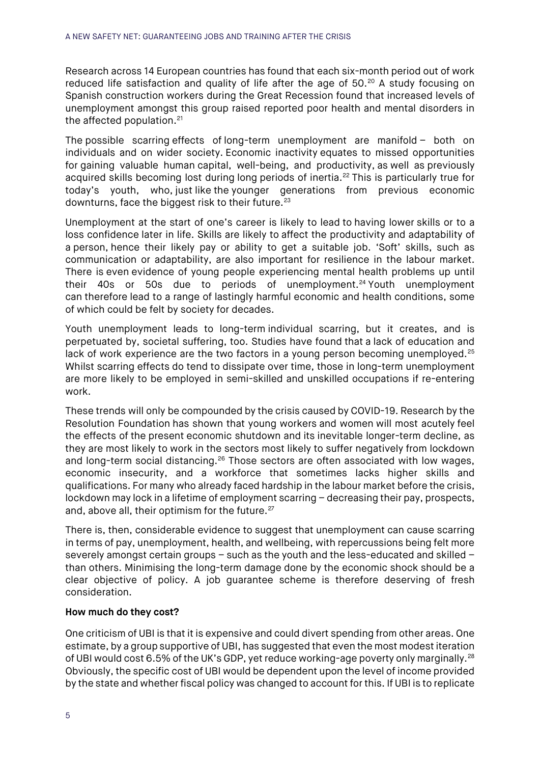Research across 14 European countries has found that each six-month period out of work reduced life satisfaction and quality of life after the age of 50.<sup>[20](#page-13-19)</sup> A study focusing on Spanish construction workers during the Great Recession found that increased levels of unemployment amongst this group raised reported poor health and mental disorders in the affected population.<sup>[21](#page-13-20)</sup>

The possible scarring effects of long-term unemployment are manifold – both on individuals and on wider society. Economic inactivity equates to missed opportunities for gaining valuable human capital, well-being, and productivity, as well as previously acquired skills becoming lost during long periods of inertia.<sup>[22](#page-13-21)</sup> This is particularly true for today's youth, who, just like the younger generations from previous economic downturns, face the biggest risk to their future.<sup>[23](#page-13-22)</sup>

Unemployment at the start of one's career is likely to lead to having lower skills or to a loss confidence later in life. Skills are likely to affect the productivity and adaptability of a person, hence their likely pay or ability to get a suitable job. 'Soft' skills, such as communication or adaptability, are also important for resilience in the labour market. There is even evidence of young people experiencing mental health problems up until their 40s or 50s due to periods of unemployment. [24](#page-13-23) Youth unemployment can therefore lead to a range of lastingly harmful economic and health conditions, some of which could be felt by society for decades.

Youth unemployment leads to long-term individual scarring, but it creates, and is perpetuated by, societal suffering, too. Studies have found that a lack of education and lack of work experience are the two factors in a young person becoming unemployed.<sup>[25](#page-13-24)</sup> Whilst scarring effects do tend to dissipate over time, those in long-term unemployment are more likely to be employed in semi-skilled and unskilled occupations if re-entering work.

These trends will only be compounded by the crisis caused by COVID-19. Research by the Resolution Foundation has shown that young workers and women will most acutely feel the effects of the present economic shutdown and its inevitable longer-term decline, as they are most likely to work in the sectors most likely to suffer negatively from lockdown and long-term social distancing.<sup>[26](#page-13-25)</sup> Those sectors are often associated with low wages, economic insecurity, and a workforce that sometimes lacks higher skills and qualifications. For many who already faced hardship in the labour market before the crisis, lockdown may lock in a lifetime of employment scarring – decreasing their pay, prospects, and, above all, their optimism for the future.<sup>[27](#page-13-26)</sup>

There is, then, considerable evidence to suggest that unemployment can cause scarring in terms of pay, unemployment, health, and wellbeing, with repercussions being felt more severely amongst certain groups – such as the youth and the less-educated and skilled – than others. Minimising the long-term damage done by the economic shock should be a clear objective of policy. A job guarantee scheme is therefore deserving of fresh consideration.

#### **How much do they cost?**

One criticism of UBI is that it is expensive and could divert spending from other areas. One estimate, by a group supportive of UBI, has suggested that even the most modest iteration of UBI would cost 6.5% of the UK's GDP, yet reduce working-age poverty only marginally.<sup>[28](#page-13-27)</sup> Obviously, the specific cost of UBI would be dependent upon the level of income provided by the state and whether fiscal policy was changed to account for this. If UBI is to replicate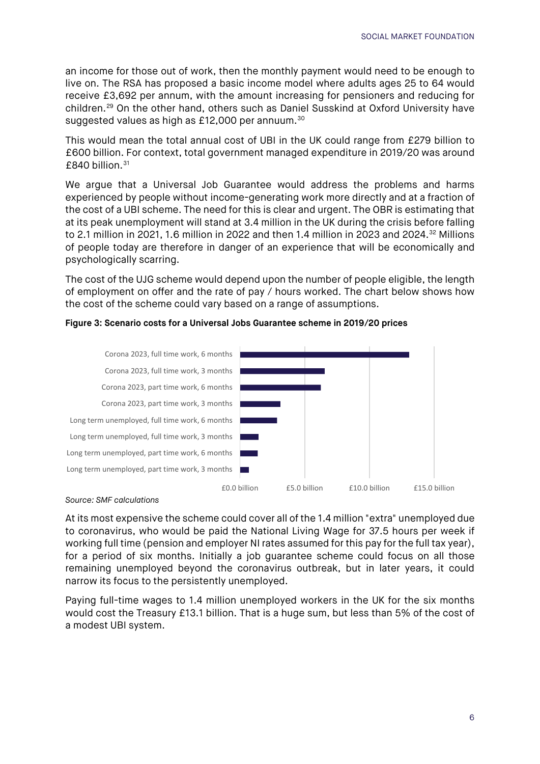an income for those out of work, then the monthly payment would need to be enough to live on. The RSA has proposed a basic income model where adults ages 25 to 64 would receive £3,692 per annum, with the amount increasing for pensioners and reducing for children[.29](#page-13-28) On the other hand, others such as Daniel Susskind at Oxford University have suggested values as high as £12,000 per annuum.<sup>[30](#page-13-29)</sup>

This would mean the total annual cost of UBI in the UK could range from £279 billion to £600 billion. For context, total government managed expenditure in 2019/20 was around £840 billion.[31](#page-13-30)

We argue that a Universal Job Guarantee would address the problems and harms experienced by people without income-generating work more directly and at a fraction of the cost of a UBI scheme. The need for this is clear and urgent. The OBR is estimating that at its peak unemployment will stand at 3.4 million in the UK during the crisis before falling to 2.1 million in 2021, 1.6 million in 2022 and then 1.4 million in 2023 and 2024.<sup>[32](#page-13-31)</sup> Millions of people today are therefore in danger of an experience that will be economically and psychologically scarring.

The cost of the UJG scheme would depend upon the number of people eligible, the length of employment on offer and the rate of pay / hours worked. The chart below shows how the cost of the scheme could vary based on a range of assumptions.





#### *Source: SMF calculations*

At its most expensive the scheme could cover all of the 1.4 million "extra" unemployed due to coronavirus, who would be paid the National Living Wage for 37.5 hours per week if working full time (pension and employer NI rates assumed for this pay for the full tax year), for a period of six months. Initially a job guarantee scheme could focus on all those remaining unemployed beyond the coronavirus outbreak, but in later years, it could narrow its focus to the persistently unemployed.

Paying full-time wages to 1.4 million unemployed workers in the UK for the six months would cost the Treasury £13.1 billion. That is a huge sum, but less than 5% of the cost of a modest UBI system.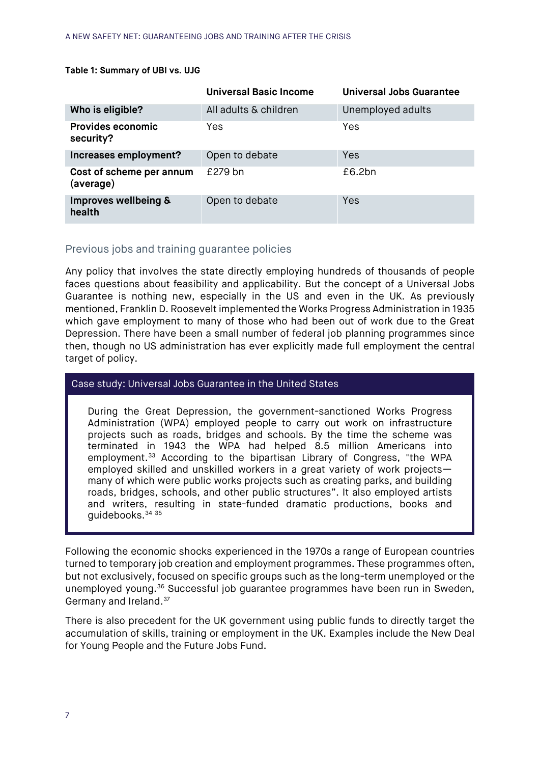#### **Table 1: Summary of UBI vs. UJG**

|                                       | <b>Universal Basic Income</b> | <b>Universal Jobs Guarantee</b> |
|---------------------------------------|-------------------------------|---------------------------------|
| Who is eligible?                      | All adults & children         | Unemployed adults               |
| <b>Provides economic</b><br>security? | Yes                           | Yes                             |
| Increases employment?                 | Open to debate                | <b>Yes</b>                      |
| Cost of scheme per annum<br>(average) | £279 bn                       | £6.2bn                          |
| Improves wellbeing &<br>health        | Open to debate                | <b>Yes</b>                      |

### Previous jobs and training guarantee policies

Any policy that involves the state directly employing hundreds of thousands of people faces questions about feasibility and applicability. But the concept of a Universal Jobs Guarantee is nothing new, especially in the US and even in the UK. As previously mentioned, Franklin D. Roosevelt implemented the Works Progress Administration in 1935 which gave employment to many of those who had been out of work due to the Great Depression. There have been a small number of federal job planning programmes since then, though no US administration has ever explicitly made full employment the central target of policy.

#### Case study: Universal Jobs Guarantee in the United States

During the Great Depression, the government-sanctioned Works Progress Administration (WPA) employed people to carry out work on infrastructure projects such as roads, bridges and schools. By the time the scheme was terminated in 1943 the WPA had helped 8.5 million Americans into employment.<sup>[33](#page-13-32)</sup> According to the bipartisan Library of Congress, "the WPA employed skilled and unskilled workers in a great variety of work projects many of which were public works projects such as creating parks, and building roads, bridges, schools, and other public structures". It also employed artists and writers, resulting in state-funded dramatic productions, books and guidebooks.[34](#page-13-33) [35](#page-13-34)

Following the economic shocks experienced in the 1970s a range of European countries turned to temporary job creation and employment programmes. These programmes often, but not exclusively, focused on specific groups such as the long-term unemployed or the unemployed young.[36](#page-13-35) Successful job guarantee programmes have been run in Sweden, Germany and Ireland.[37](#page-13-36)

There is also precedent for the UK government using public funds to directly target the accumulation of skills, training or employment in the UK. Examples include the New Deal for Young People and the Future Jobs Fund.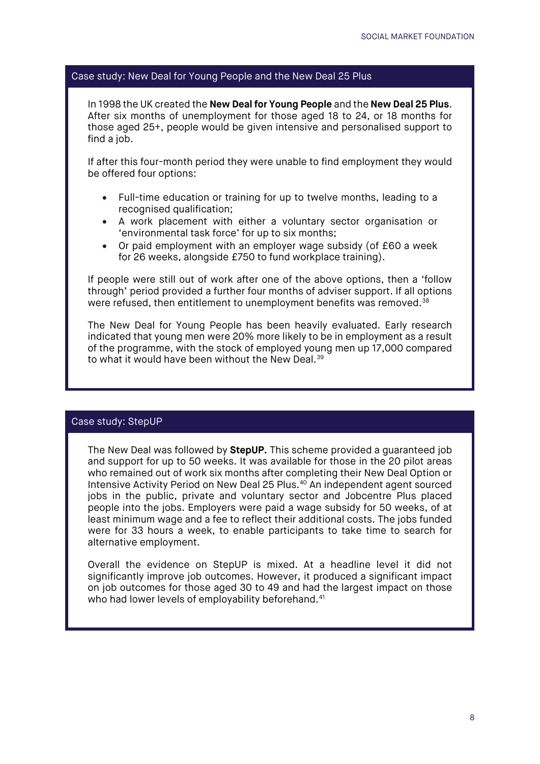#### Case study: New Deal for Young People and the New Deal 25 Plus

In 1998 the UK created the **New Deal for Young People** and the **New Deal 25 Plus**. After six months of unemployment for those aged 18 to 24, or 18 months for those aged 25+, people would be given intensive and personalised support to find a job.

If after this four-month period they were unable to find employment they would be offered four options:

- Full-time education or training for up to twelve months, leading to a recognised qualification;
- A work placement with either a voluntary sector organisation or 'environmental task force' for up to six months;
- Or paid employment with an employer wage subsidy (of £60 a week for 26 weeks, alongside £750 to fund workplace training).

If people were still out of work after one of the above options, then a 'follow through' period provided a further four months of adviser support. If all options were refused, then entitlement to unemployment benefits was removed.<sup>[38](#page-13-37)</sup>

The New Deal for Young People has been heavily evaluated. Early research indicated that young men were 20% more likely to be in employment as a result of the programme, with the stock of employed young men up 17,000 compared to what it would have been without the New Deal[.39](#page-14-0)

#### Case study: StepUP

The New Deal was followed by **StepUP.** This scheme provided a guaranteed job and support for up to 50 weeks. It was available for those in the 20 pilot areas who remained out of work six months after completing their New Deal Option or Intensive Activity Period on New Deal 25 Plus.[40](#page-14-1) An independent agent sourced jobs in the public, private and voluntary sector and Jobcentre Plus placed people into the jobs. Employers were paid a wage subsidy for 50 weeks, of at least minimum wage and a fee to reflect their additional costs. The jobs funded were for 33 hours a week, to enable participants to take time to search for alternative employment.

Overall the evidence on StepUP is mixed. At a headline level it did not significantly improve job outcomes. However, it produced a significant impact on job outcomes for those aged 30 to 49 and had the largest impact on those who had lower levels of employability beforehand.<sup>[41](#page-14-2)</sup>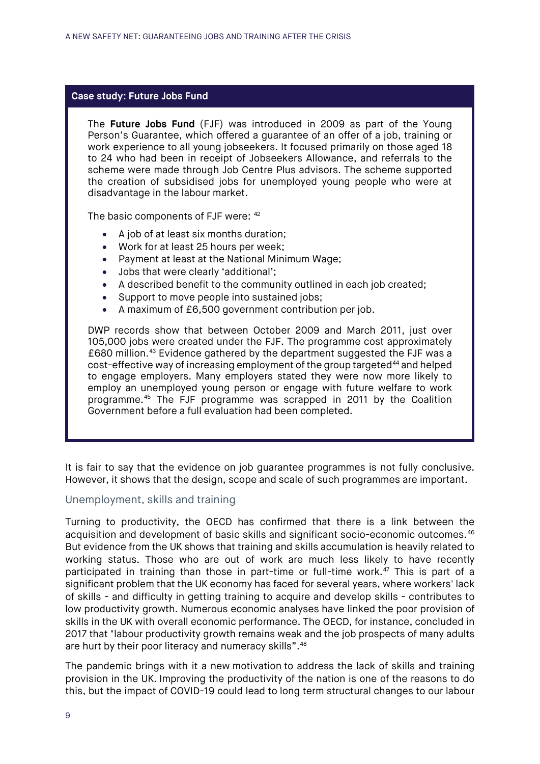#### **Case study: Future Jobs Fund**

The **Future Jobs Fund** (FJF) was introduced in 2009 as part of the Young Person's Guarantee, which offered a guarantee of an offer of a job, training or work experience to all young jobseekers. It focused primarily on those aged 18 to 24 who had been in receipt of Jobseekers Allowance, and referrals to the scheme were made through Job Centre Plus advisors. The scheme supported the creation of subsidised jobs for unemployed young people who were at disadvantage in the labour market.

The basic components of FJF were:  $42$ 

- A job of at least six months duration;
- Work for at least 25 hours per week;
- Payment at least at the National Minimum Wage;
- Jobs that were clearly 'additional';
- A described benefit to the community outlined in each job created;
- Support to move people into sustained jobs;
- A maximum of £6,500 government contribution per job.

DWP records show that between October 2009 and March 2011, just over 105,000 jobs were created under the FJF. The programme cost approximately £680 million.<sup>[43](#page-14-4)</sup> Evidence gathered by the department suggested the FJF was a cost-effective way of increasing employment of the group targeted<sup>[44](#page-14-5)</sup> and helped to engage employers. Many employers stated they were now more likely to employ an unemployed young person or engage with future welfare to work programme.[45](#page-14-6) The FJF programme was scrapped in 2011 by the Coalition Government before a full evaluation had been completed.

It is fair to say that the evidence on job guarantee programmes is not fully conclusive. However, it shows that the design, scope and scale of such programmes are important.

#### Unemployment, skills and training

Turning to productivity, the OECD has confirmed that there is a link between the acquisition and development of basic skills and significant socio-economic outcomes.[46](#page-14-7) But evidence from the UK shows that training and skills accumulation is heavily related to working status. Those who are out of work are much less likely to have recently participated in training than those in part-time or full-time work.<sup>[47](#page-14-8)</sup> This is part of a significant problem that the UK economy has faced for several years, where workers' lack of skills - and difficulty in getting training to acquire and develop skills - contributes to low productivity growth. Numerous economic analyses have linked the poor provision of skills in the UK with overall economic performance. The OECD, for instance, concluded in 2017 that "labour productivity growth remains weak and the job prospects of many adults are hurt by their poor literacy and numeracy skills". [48](#page-14-9)

The pandemic brings with it a new motivation to address the lack of skills and training provision in the UK. Improving the productivity of the nation is one of the reasons to do this, but the impact of COVID-19 could lead to long term structural changes to our labour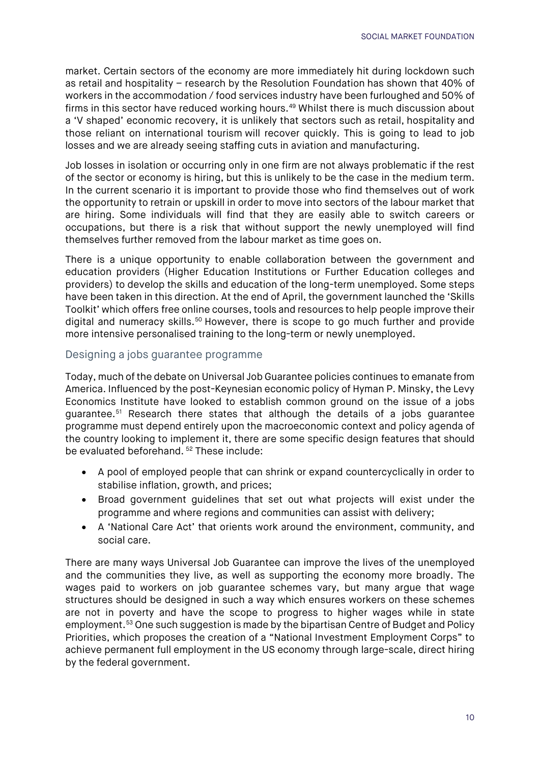market. Certain sectors of the economy are more immediately hit during lockdown such as retail and hospitality – research by the Resolution Foundation has shown that 40% of workers in the accommodation / food services industry have been furloughed and 50% of firms in this sector have reduced working hours.<sup>[49](#page-14-10)</sup> Whilst there is much discussion about a 'V shaped' economic recovery, it is unlikely that sectors such as retail, hospitality and those reliant on international tourism will recover quickly. This is going to lead to job losses and we are already seeing staffing cuts in aviation and manufacturing.

Job losses in isolation or occurring only in one firm are not always problematic if the rest of the sector or economy is hiring, but this is unlikely to be the case in the medium term. In the current scenario it is important to provide those who find themselves out of work the opportunity to retrain or upskill in order to move into sectors of the labour market that are hiring. Some individuals will find that they are easily able to switch careers or occupations, but there is a risk that without support the newly unemployed will find themselves further removed from the labour market as time goes on.

There is a unique opportunity to enable collaboration between the government and education providers (Higher Education Institutions or Further Education colleges and providers) to develop the skills and education of the long-term unemployed. Some steps have been taken in this direction. At the end of April, the government launched the 'Skills Toolkit' which offers free online courses, tools and resources to help people improve their digital and numeracy skills.<sup>[50](#page-14-11)</sup> However, there is scope to go much further and provide more intensive personalised training to the long-term or newly unemployed.

## Designing a jobs guarantee programme

Today, much of the debate on Universal Job Guarantee policies continues to emanate from America. Influenced by the post-Keynesian economic policy of Hyman P. Minsky, the Levy Economics Institute have looked to establish common ground on the issue of a jobs guarantee.[51](#page-14-12) Research there states that although the details of a jobs guarantee programme must depend entirely upon the macroeconomic context and policy agenda of the country looking to implement it, there are some specific design features that should be evaluated beforehand.<sup>[52](#page-14-13)</sup> These include:

- A pool of employed people that can shrink or expand countercyclically in order to stabilise inflation, growth, and prices;
- Broad government guidelines that set out what projects will exist under the programme and where regions and communities can assist with delivery;
- A 'National Care Act' that orients work around the environment, community, and social care.

There are many ways Universal Job Guarantee can improve the lives of the unemployed and the communities they live, as well as supporting the economy more broadly. The wages paid to workers on job guarantee schemes vary, but many argue that wage structures should be designed in such a way which ensures workers on these schemes are not in poverty and have the scope to progress to higher wages while in state employment.[53](#page-14-14) One such suggestion is made by the bipartisan Centre of Budget and Policy Priorities, which proposes the creation of a "National Investment Employment Corps" to achieve permanent full employment in the US economy through large-scale, direct hiring by the federal government.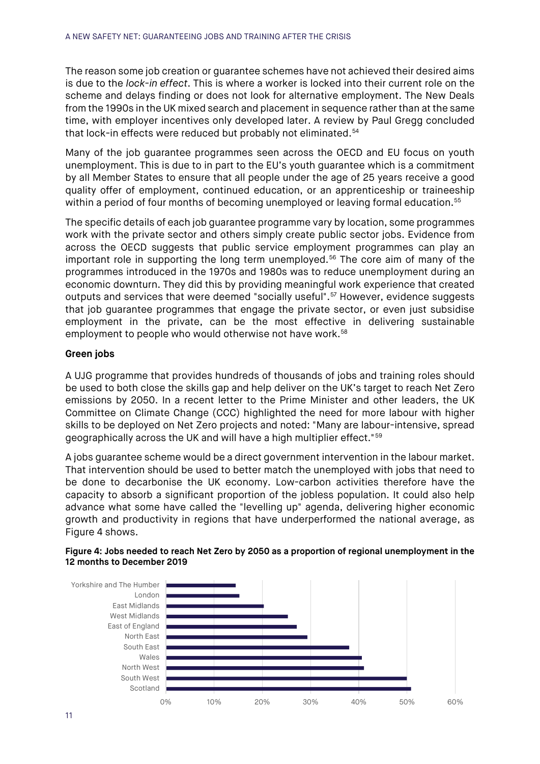The reason some job creation or guarantee schemes have not achieved their desired aims is due to the *lock-in effect*. This is where a worker is locked into their current role on the scheme and delays finding or does not look for alternative employment. The New Deals from the 1990s in the UK mixed search and placement in sequence rather than at the same time, with employer incentives only developed later. A review by Paul Gregg concluded that lock-in effects were reduced but probably not eliminated.<sup>[54](#page-14-15)</sup>

Many of the job guarantee programmes seen across the OECD and EU focus on youth unemployment. This is due to in part to the EU's youth guarantee which is a commitment by all Member States to ensure that all people under the age of 25 years receive a good quality offer of employment, continued education, or an apprenticeship or traineeship within a period of four months of becoming unemployed or leaving formal education.<sup>[55](#page-14-16)</sup>

The specific details of each job guarantee programme vary by location, some programmes work with the private sector and others simply create public sector jobs. Evidence from across the OECD suggests that public service employment programmes can play an important role in supporting the long term unemployed.<sup>[56](#page-14-17)</sup> The core aim of many of the programmes introduced in the 1970s and 1980s was to reduce unemployment during an economic downturn. They did this by providing meaningful work experience that created outputs and services that were deemed "socially useful".<sup>[57](#page-14-18)</sup> However, evidence suggests that job guarantee programmes that engage the private sector, or even just subsidise employment in the private, can be the most effective in delivering sustainable employment to people who would otherwise not have work.<sup>[58](#page-14-19)</sup>

#### **Green jobs**

A UJG programme that provides hundreds of thousands of jobs and training roles should be used to both close the skills gap and help deliver on the UK's target to reach Net Zero emissions by 2050. In a recent letter to the Prime Minister and other leaders, the UK Committee on Climate Change (CCC) highlighted the need for more labour with higher skills to be deployed on Net Zero projects and noted: "Many are labour-intensive, spread geographically across the UK and will have a high multiplier effect."[59](#page-14-20)

A jobs guarantee scheme would be a direct government intervention in the labour market. That intervention should be used to better match the unemployed with jobs that need to be done to decarbonise the UK economy. Low-carbon activities therefore have the capacity to absorb a significant proportion of the jobless population. It could also help advance what some have called the "levelling up" agenda, delivering higher economic growth and productivity in regions that have underperformed the national average, as Figure 4 shows.



#### **Figure 4: Jobs needed to reach Net Zero by 2050 as a proportion of regional unemployment in the 12 months to December 2019**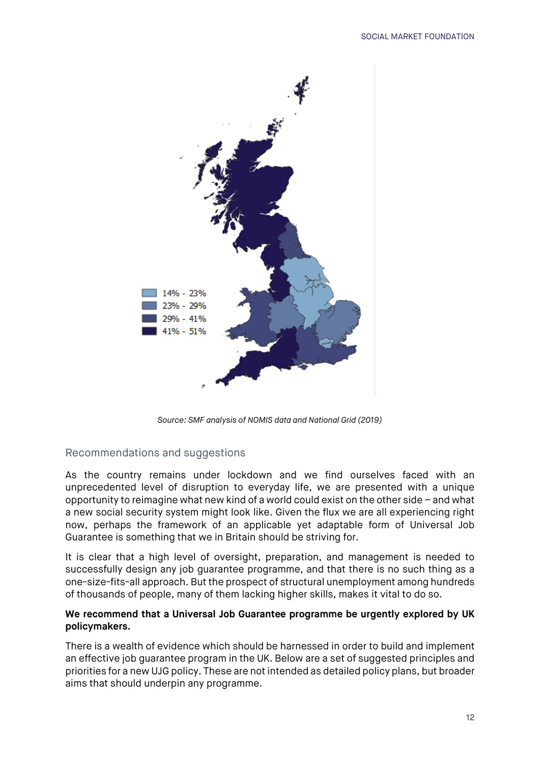

*Source: SMF analysis of NOMIS data and National Grid (2019)*

# Recommendations and suggestions

As the country remains under lockdown and we find ourselves faced with an unprecedented level of disruption to everyday life, we are presented with a unique opportunity to reimagine what new kind of a world could exist on the other side – and what a new social security system might look like. Given the flux we are all experiencing right now, perhaps the framework of an applicable yet adaptable form of Universal Job Guarantee is something that we in Britain should be striving for.

It is clear that a high level of oversight, preparation, and management is needed to successfully design any job guarantee programme, and that there is no such thing as a one-size-fits-all approach. But the prospect of structural unemployment among hundreds of thousands of people, many of them lacking higher skills, makes it vital to do so.

### **We recommend that a Universal Job Guarantee programme be urgently explored by UK policymakers.**

There is a wealth of evidence which should be harnessed in order to build and implement an effective job guarantee program in the UK. Below are a set of suggested principles and priorities for a new UJG policy. These are not intended as detailed policy plans, but broader aims that should underpin any programme.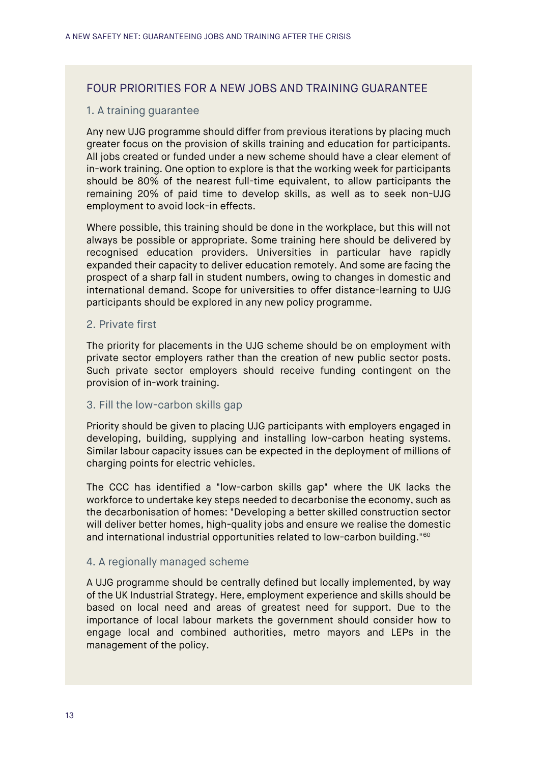## FOUR PRIORITIES FOR A NEW JOBS AND TRAINING GUARANTEE

#### 1. A training guarantee

Any new UJG programme should differ from previous iterations by placing much greater focus on the provision of skills training and education for participants. All jobs created or funded under a new scheme should have a clear element of in-work training. One option to explore is that the working week for participants should be 80% of the nearest full-time equivalent, to allow participants the remaining 20% of paid time to develop skills, as well as to seek non-UJG employment to avoid lock-in effects.

Where possible, this training should be done in the workplace, but this will not always be possible or appropriate. Some training here should be delivered by recognised education providers. Universities in particular have rapidly expanded their capacity to deliver education remotely. And some are facing the prospect of a sharp fall in student numbers, owing to changes in domestic and international demand. Scope for universities to offer distance-learning to UJG participants should be explored in any new policy programme.

#### 2. Private first

The priority for placements in the UJG scheme should be on employment with private sector employers rather than the creation of new public sector posts. Such private sector employers should receive funding contingent on the provision of in-work training.

#### 3. Fill the low-carbon skills gap

Priority should be given to placing UJG participants with employers engaged in developing, building, supplying and installing low-carbon heating systems. Similar labour capacity issues can be expected in the deployment of millions of charging points for electric vehicles.

The CCC has identified a "low-carbon skills gap" where the UK lacks the workforce to undertake key steps needed to decarbonise the economy, such as the decarbonisation of homes: "Developing a better skilled construction sector will deliver better homes, high-quality jobs and ensure we realise the domestic and international industrial opportunities related to low-carbon building."<sup>[60](#page-14-21)</sup>

#### 4. A regionally managed scheme

A UJG programme should be centrally defined but locally implemented, by way of the UK Industrial Strategy. Here, employment experience and skills should be based on local need and areas of greatest need for support. Due to the importance of local labour markets the government should consider how to engage local and combined authorities, metro mayors and LEPs in the management of the policy.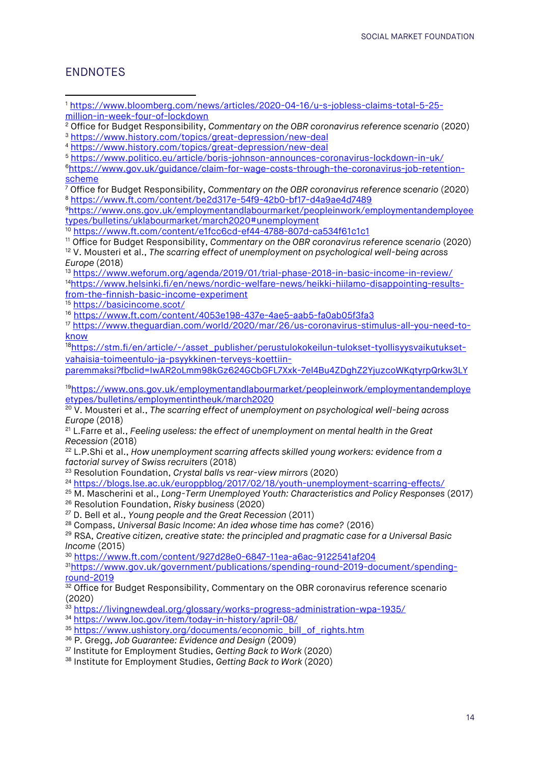# ENDNOTES

<span id="page-13-37"></span><span id="page-13-36"></span><span id="page-13-35"></span><span id="page-13-34"></span><span id="page-13-33"></span><span id="page-13-32"></span><span id="page-13-31"></span><span id="page-13-30"></span><span id="page-13-29"></span><span id="page-13-28"></span><span id="page-13-27"></span><span id="page-13-26"></span><span id="page-13-25"></span><span id="page-13-24"></span><span id="page-13-23"></span><span id="page-13-22"></span><span id="page-13-21"></span><span id="page-13-20"></span><span id="page-13-19"></span><span id="page-13-18"></span><span id="page-13-17"></span><span id="page-13-16"></span><span id="page-13-15"></span><span id="page-13-14"></span><span id="page-13-13"></span><span id="page-13-12"></span><span id="page-13-11"></span><span id="page-13-10"></span><span id="page-13-9"></span><span id="page-13-8"></span><span id="page-13-7"></span><span id="page-13-6"></span><span id="page-13-5"></span><span id="page-13-4"></span><span id="page-13-3"></span><span id="page-13-2"></span><span id="page-13-1"></span><span id="page-13-0"></span>

| <sup>1</sup> https://www.bloomberg.com/news/articles/2020-04-16/u-s-jobless-claims-total-5-25-               |
|--------------------------------------------------------------------------------------------------------------|
| million-in-week-four-of-lockdown                                                                             |
| <sup>2</sup> Office for Budget Responsibility, Commentary on the OBR coronavirus reference scenario (2020)   |
| <sup>3</sup> https://www.history.com/topics/great-depression/new-deal                                        |
| 4 https://www.history.com/topics/great-depression/new-deal                                                   |
| <sup>5</sup> https://www.politico.eu/article/boris-johnson-announces-coronavirus-lockdown-in-uk/             |
| <sup>6</sup> https://www.gov.uk/guidance/claim-for-wage-costs-through-the-coronavirus-job-retention-         |
| scheme                                                                                                       |
| <sup>7</sup> Office for Budget Responsibility, Commentary on the OBR coronavirus reference scenario (2020)   |
| <sup>8</sup> https://www.ft.com/content/be2d317e-54f9-42b0-bf17-d4a9ae4d7489                                 |
| 9https://www.ons.gov.uk/employmentandlabourmarket/peopleinwork/employmentandemployee                         |
| types/bulletins/uklabourmarket/march2020#unemployment                                                        |
| <sup>10</sup> https://www.ft.com/content/e1fcc6cd-ef44-4788-807d-ca534f61c1c1                                |
| <sup>11</sup> Office for Budget Responsibility, Commentary on the OBR coronavirus reference scenario (2020)  |
|                                                                                                              |
| <sup>12</sup> V. Mousteri et al., The scarring effect of unemployment on psychological well-being across     |
| Europe (2018)                                                                                                |
| 13 https://www.weforum.org/agenda/2019/01/trial-phase-2018-in-basic-income-in-review/                        |
| <sup>14</sup> https://www.helsinki.fi/en/news/nordic-welfare-news/heikki-hiilamo-disappointing-results-      |
| from-the-finnish-basic-income-experiment                                                                     |
| 15 https://basicincome.scot/                                                                                 |
| <sup>16</sup> https://www.ft.com/content/4053e198-437e-4ae5-aab5-fa0ab05f3fa3                                |
| <sup>17</sup> https://www.thequardian.com/world/2020/mar/26/us-coronavirus-stimulus-all-you-need-to-         |
| know                                                                                                         |
| <sup>18</sup> https://stm.fi/en/article/-/asset_publisher/perustulokokeilun-tulokset-tyollisyysvaikutukset-  |
| vahaisia-toimeentulo-ja-psyykkinen-terveys-koettiin-                                                         |
| paremmaksi?fbclid=lwAR2oLmm98kGz624GCbGFL7Xxk-7el4Bu4ZDghZ2YjuzcoWKqtyrpQrkw3LY                              |
|                                                                                                              |
| <sup>19</sup> https://www.ons.gov.uk/employmentandlabourmarket/peopleinwork/employmentandemploye             |
| etypes/bulletins/employmentintheuk/march2020                                                                 |
| <sup>20</sup> V. Mousteri et al., The scarring effect of unemployment on psychological well-being across     |
|                                                                                                              |
|                                                                                                              |
| Europe (2018)                                                                                                |
| <sup>21</sup> L.Farre et al., Feeling useless: the effect of unemployment on mental health in the Great      |
| Recession (2018)                                                                                             |
| <sup>22</sup> L.P.Shi et al., How unemployment scarring affects skilled young workers: evidence from a       |
| factorial survey of Swiss recruiters (2018)                                                                  |
| <sup>23</sup> Resolution Foundation, Crystal balls vs rear-view mirrors (2020)                               |
| <sup>24</sup> https://blogs.lse.ac.uk/europpblog/2017/02/18/youth-unemployment-scarring-effects/             |
| <sup>25</sup> M. Mascherini et al., Long-Term Unemployed Youth: Characteristics and Policy Responses (2017)  |
| <sup>26</sup> Resolution Foundation, Risky business (2020)                                                   |
| <sup>27</sup> D. Bell et al., Young people and the Great Recession (2011)                                    |
| <sup>28</sup> Compass, Universal Basic Income: An idea whose time has come? (2016)                           |
| <sup>29</sup> RSA, Creative citizen, creative state: the principled and pragmatic case for a Universal Basic |
| Income (2015)                                                                                                |
| 30 https://www.ft.com/content/927d28e0-6847-11ea-a6ac-9122541af204                                           |
| 3 <sup>1</sup> https://www.gov.uk/government/publications/spending-round-2019-document/spending-             |
| round-2019                                                                                                   |
| 32 Office for Budget Responsibility, Commentary on the OBR coronavirus reference scenario                    |
| (2020)                                                                                                       |
| 33 https://livingnewdeal.org/glossary/works-progress-administration-wpa-1935/                                |
|                                                                                                              |
| 34 https://www.loc.gov/item/today-in-history/april-08/                                                       |
| 35 https://www.ushistory.org/documents/economic bill of rights.htm                                           |
| <sup>36</sup> P. Gregg, Job Guarantee: Evidence and Design (2009)                                            |
| <sup>37</sup> Institute for Employment Studies, Getting Back to Work (2020)                                  |
| 38 Institute for Employment Studies, Getting Back to Work (2020)                                             |